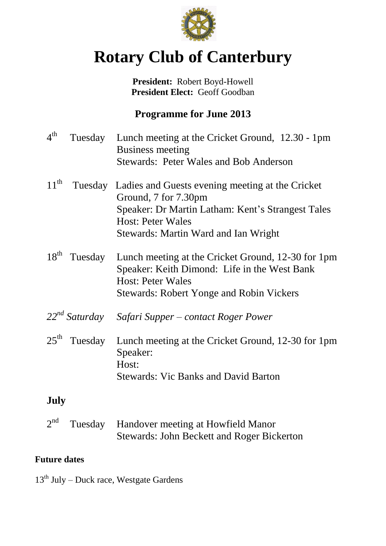

# **Rotary Club of Canterbury**

**President:** Robert Boyd-Howell **President Elect:** Geoff Goodban

# **Programme for June 2013**

| $4^{\text{th}}$  | Tuesday            | Lunch meeting at the Cricket Ground, 12.30 - 1pm<br><b>Business meeting</b>                                                    |
|------------------|--------------------|--------------------------------------------------------------------------------------------------------------------------------|
|                  |                    | <b>Stewards: Peter Wales and Bob Anderson</b>                                                                                  |
| $11^{\text{th}}$ |                    | Tuesday Ladies and Guests evening meeting at the Cricket<br>Ground, 7 for 7.30pm                                               |
|                  |                    | Speaker: Dr Martin Latham: Kent's Strangest Tales<br><b>Host: Peter Wales</b>                                                  |
|                  |                    | Stewards: Martin Ward and Ian Wright                                                                                           |
| $18^{th}$        | Tuesday            | Lunch meeting at the Cricket Ground, 12-30 for 1pm<br>Speaker: Keith Dimond: Life in the West Bank<br><b>Host: Peter Wales</b> |
|                  |                    | <b>Stewards: Robert Yonge and Robin Vickers</b>                                                                                |
|                  | $22^{nd}$ Saturday | Safari Supper – contact Roger Power                                                                                            |
| $25^{\text{th}}$ | Tuesday            | Lunch meeting at the Cricket Ground, 12-30 for 1pm<br>Speaker:                                                                 |
|                  |                    | Host:<br><b>Stewards: Vic Banks and David Barton</b>                                                                           |
|                  |                    |                                                                                                                                |

## **July**

| 2 <sup>nd</sup> | Tuesday Handover meeting at Howfield Manor |
|-----------------|--------------------------------------------|
|                 | Stewards: John Beckett and Roger Bickerton |

#### **Future dates**

 $13<sup>th</sup>$  July – Duck race, Westgate Gardens